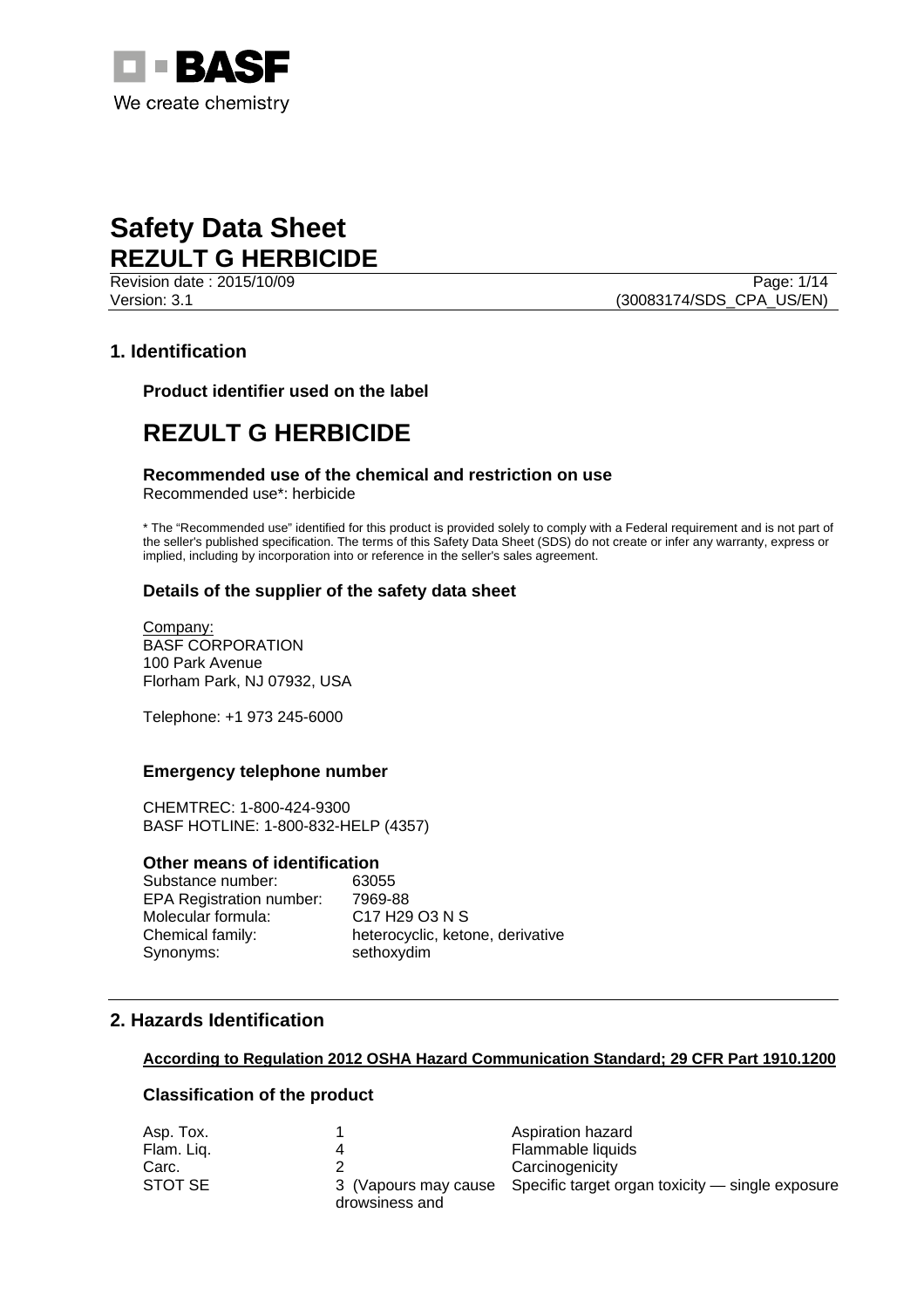

Revision date : 2015/10/09 Page: 1/14 Version: 3.1 (30083174/SDS\_CPA\_US/EN)

## **1. Identification**

**Product identifier used on the label** 

# **REZULT G HERBICIDE**

### **Recommended use of the chemical and restriction on use**

Recommended use\*: herbicide

\* The "Recommended use" identified for this product is provided solely to comply with a Federal requirement and is not part of the seller's published specification. The terms of this Safety Data Sheet (SDS) do not create or infer any warranty, express or implied, including by incorporation into or reference in the seller's sales agreement.

## **Details of the supplier of the safety data sheet**

Company: BASF CORPORATION 100 Park Avenue Florham Park, NJ 07932, USA

Telephone: +1 973 245-6000

## **Emergency telephone number**

CHEMTREC: 1-800-424-9300 BASF HOTLINE: 1-800-832-HELP (4357)

### **Other means of identification**

Substance number: 63055 EPA Registration number: 7969-88 Molecular formula: C17 H29 O3 N S Synonyms: sethoxydim

Chemical family: heterocyclic, ketone, derivative

## **2. Hazards Identification**

### **According to Regulation 2012 OSHA Hazard Communication Standard; 29 CFR Part 1910.1200**

## **Classification of the product**

| Asp. Tox.  |                | Aspiration hazard                                                     |
|------------|----------------|-----------------------------------------------------------------------|
| Flam. Lig. |                | Flammable liquids                                                     |
| Carc.      |                | Carcinogenicity                                                       |
| STOT SE    | drowsiness and | 3 (Vapours may cause Specific target organ toxicity — single exposure |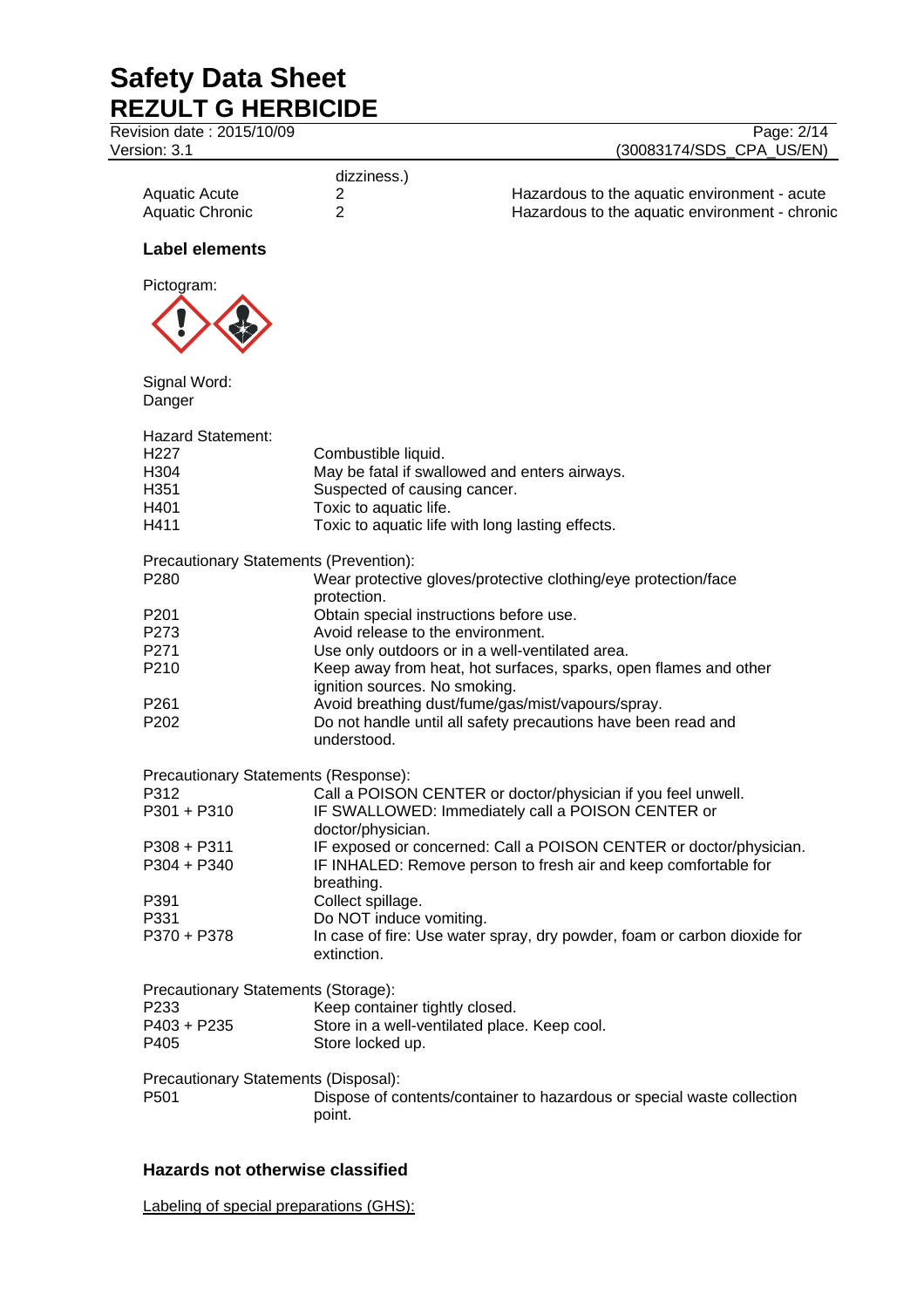| Revision date: 2015/10/09<br>Version: 3.1 |                                   | Page: 2/14<br>(30083174/SDS_CPA_US/EN)                                   |
|-------------------------------------------|-----------------------------------|--------------------------------------------------------------------------|
|                                           | dizziness.)                       |                                                                          |
| <b>Aquatic Acute</b>                      | 2                                 | Hazardous to the aquatic environment - acute                             |
| <b>Aquatic Chronic</b>                    | $\overline{2}$                    | Hazardous to the aquatic environment - chronic                           |
| <b>Label elements</b>                     |                                   |                                                                          |
| Pictogram:                                |                                   |                                                                          |
|                                           |                                   |                                                                          |
| Signal Word:<br>Danger                    |                                   |                                                                          |
| <b>Hazard Statement:</b>                  |                                   |                                                                          |
| H <sub>227</sub>                          | Combustible liquid.               |                                                                          |
| H304                                      |                                   | May be fatal if swallowed and enters airways.                            |
| H351                                      | Suspected of causing cancer.      |                                                                          |
| H401                                      | Toxic to aquatic life.            |                                                                          |
| H411                                      |                                   | Toxic to aquatic life with long lasting effects.                         |
| Precautionary Statements (Prevention):    |                                   |                                                                          |
| P280                                      |                                   | Wear protective gloves/protective clothing/eye protection/face           |
|                                           | protection.                       |                                                                          |
| P <sub>201</sub>                          |                                   | Obtain special instructions before use.                                  |
| P273                                      | Avoid release to the environment. |                                                                          |
| P271                                      |                                   | Use only outdoors or in a well-ventilated area.                          |
| P210                                      |                                   | Keep away from heat, hot surfaces, sparks, open flames and other         |
|                                           | ignition sources. No smoking.     |                                                                          |
| P261                                      |                                   | Avoid breathing dust/fume/gas/mist/vapours/spray.                        |
| P <sub>202</sub>                          | understood.                       | Do not handle until all safety precautions have been read and            |
| Precautionary Statements (Response):      |                                   |                                                                          |
| P312                                      |                                   | Call a POISON CENTER or doctor/physician if you feel unwell.             |
| P301 + P310                               |                                   | IF SWALLOWED: Immediately call a POISON CENTER or                        |
|                                           | doctor/physician.                 |                                                                          |
| $P308 + P311$                             |                                   | IF exposed or concerned: Call a POISON CENTER or doctor/physician.       |
| P304 + P340                               |                                   | IF INHALED: Remove person to fresh air and keep comfortable for          |
|                                           | breathing.                        |                                                                          |
| P391                                      | Collect spillage.                 |                                                                          |
| P331                                      | Do NOT induce vomiting.           |                                                                          |
| P370 + P378                               | extinction.                       | In case of fire: Use water spray, dry powder, foam or carbon dioxide for |
| Precautionary Statements (Storage):       |                                   |                                                                          |
| P233                                      | Keep container tightly closed.    |                                                                          |
| P403 + P235                               |                                   | Store in a well-ventilated place. Keep cool.                             |
| P405                                      | Store locked up.                  |                                                                          |
| Precautionary Statements (Disposal):      |                                   |                                                                          |
| P501                                      |                                   | Dispose of contents/container to hazardous or special waste collection   |
|                                           | point.                            |                                                                          |

## **Hazards not otherwise classified**

Labeling of special preparations (GHS):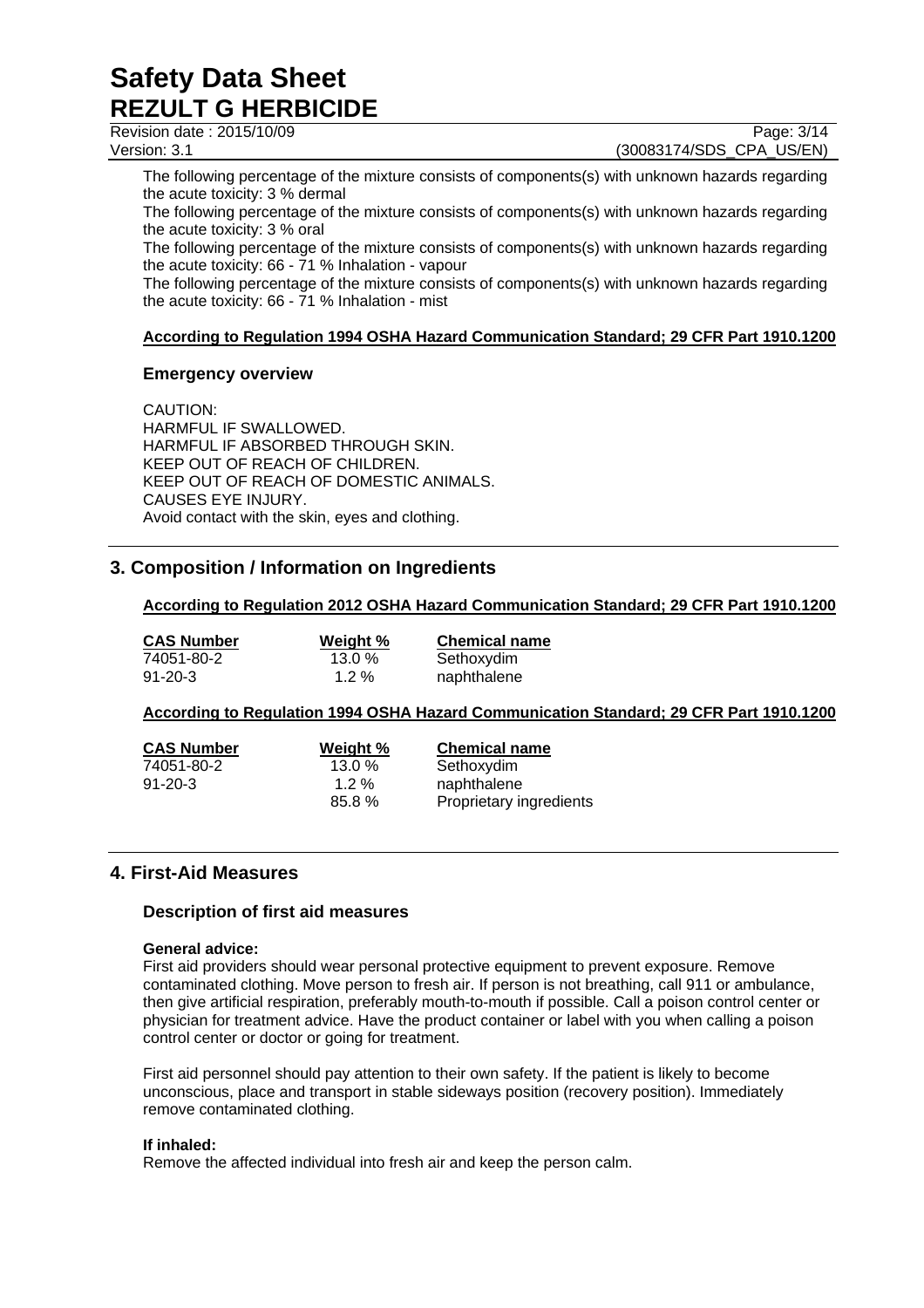Revision date : 2015/10/09 Page: 3/14

Version: 3.1 (30083174/SDS\_CPA\_US/EN)

The following percentage of the mixture consists of components(s) with unknown hazards regarding the acute toxicity: 3 % dermal

The following percentage of the mixture consists of components(s) with unknown hazards regarding the acute toxicity: 3 % oral

The following percentage of the mixture consists of components(s) with unknown hazards regarding the acute toxicity: 66 - 71 % Inhalation - vapour

The following percentage of the mixture consists of components(s) with unknown hazards regarding the acute toxicity: 66 - 71 % Inhalation - mist

## **According to Regulation 1994 OSHA Hazard Communication Standard; 29 CFR Part 1910.1200**

## **Emergency overview**

CAUTION: HARMFUL IF SWALLOWED. HARMFUL IF ABSORBED THROUGH SKIN. KEEP OUT OF REACH OF CHILDREN. KEEP OUT OF REACH OF DOMESTIC ANIMALS. CAUSES EYE INJURY. Avoid contact with the skin, eyes and clothing.

## **3. Composition / Information on Ingredients**

## **According to Regulation 2012 OSHA Hazard Communication Standard; 29 CFR Part 1910.1200**

| <b>CAS Number</b> | Weight % | <b>Chemical name</b> |
|-------------------|----------|----------------------|
| 74051-80-2        | 13.0%    | Sethoxydim           |
| 91-20-3           | $1.2\%$  | naphthalene          |

## **According to Regulation 1994 OSHA Hazard Communication Standard; 29 CFR Part 1910.1200**

| <b>CAS Number</b> | Weight %  | <b>Chemical name</b>    |
|-------------------|-----------|-------------------------|
| 74051-80-2        | $13.0 \%$ | Sethoxydim              |
| $91 - 20 - 3$     | $1.2\%$   | naphthalene             |
|                   | 85.8%     | Proprietary ingredients |

## **4. First-Aid Measures**

## **Description of first aid measures**

### **General advice:**

First aid providers should wear personal protective equipment to prevent exposure. Remove contaminated clothing. Move person to fresh air. If person is not breathing, call 911 or ambulance, then give artificial respiration, preferably mouth-to-mouth if possible. Call a poison control center or physician for treatment advice. Have the product container or label with you when calling a poison control center or doctor or going for treatment.

First aid personnel should pay attention to their own safety. If the patient is likely to become unconscious, place and transport in stable sideways position (recovery position). Immediately remove contaminated clothing.

### **If inhaled:**

Remove the affected individual into fresh air and keep the person calm.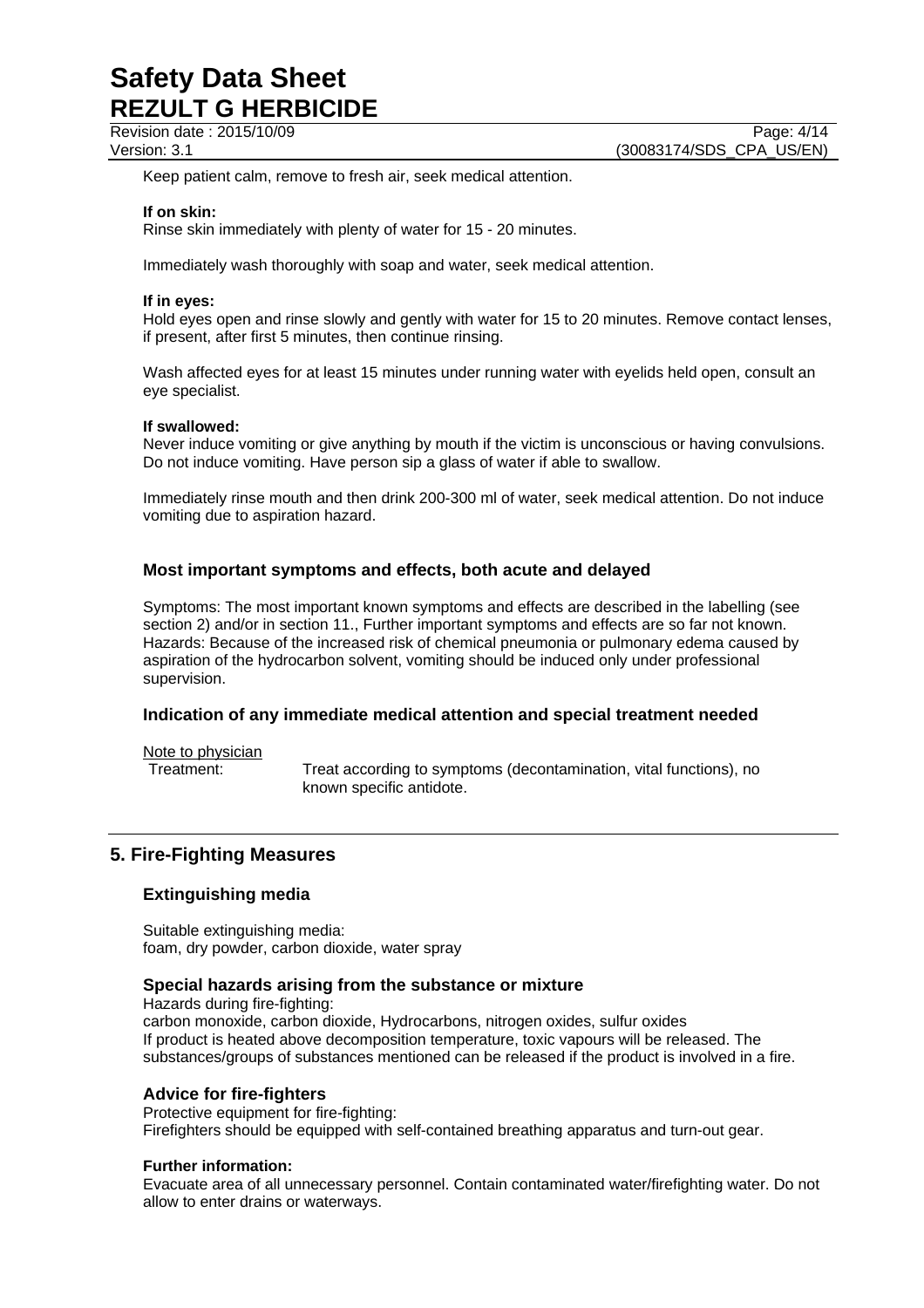Revision date : 2015/10/09 Page: 4/14

Keep patient calm, remove to fresh air, seek medical attention.

### **If on skin:**

Rinse skin immediately with plenty of water for 15 - 20 minutes.

Immediately wash thoroughly with soap and water, seek medical attention.

### **If in eyes:**

Hold eyes open and rinse slowly and gently with water for 15 to 20 minutes. Remove contact lenses, if present, after first 5 minutes, then continue rinsing.

Wash affected eyes for at least 15 minutes under running water with eyelids held open, consult an eye specialist.

### **If swallowed:**

Never induce vomiting or give anything by mouth if the victim is unconscious or having convulsions. Do not induce vomiting. Have person sip a glass of water if able to swallow.

Immediately rinse mouth and then drink 200-300 ml of water, seek medical attention. Do not induce vomiting due to aspiration hazard.

## **Most important symptoms and effects, both acute and delayed**

Symptoms: The most important known symptoms and effects are described in the labelling (see section 2) and/or in section 11., Further important symptoms and effects are so far not known. Hazards: Because of the increased risk of chemical pneumonia or pulmonary edema caused by aspiration of the hydrocarbon solvent, vomiting should be induced only under professional supervision.

## **Indication of any immediate medical attention and special treatment needed**

Note to physician

Treatment: Treat according to symptoms (decontamination, vital functions), no known specific antidote.

## **5. Fire-Fighting Measures**

## **Extinguishing media**

Suitable extinguishing media: foam, dry powder, carbon dioxide, water spray

## **Special hazards arising from the substance or mixture**

Hazards during fire-fighting: carbon monoxide, carbon dioxide, Hydrocarbons, nitrogen oxides, sulfur oxides If product is heated above decomposition temperature, toxic vapours will be released. The substances/groups of substances mentioned can be released if the product is involved in a fire.

## **Advice for fire-fighters**

Protective equipment for fire-fighting: Firefighters should be equipped with self-contained breathing apparatus and turn-out gear.

### **Further information:**

Evacuate area of all unnecessary personnel. Contain contaminated water/firefighting water. Do not allow to enter drains or waterways.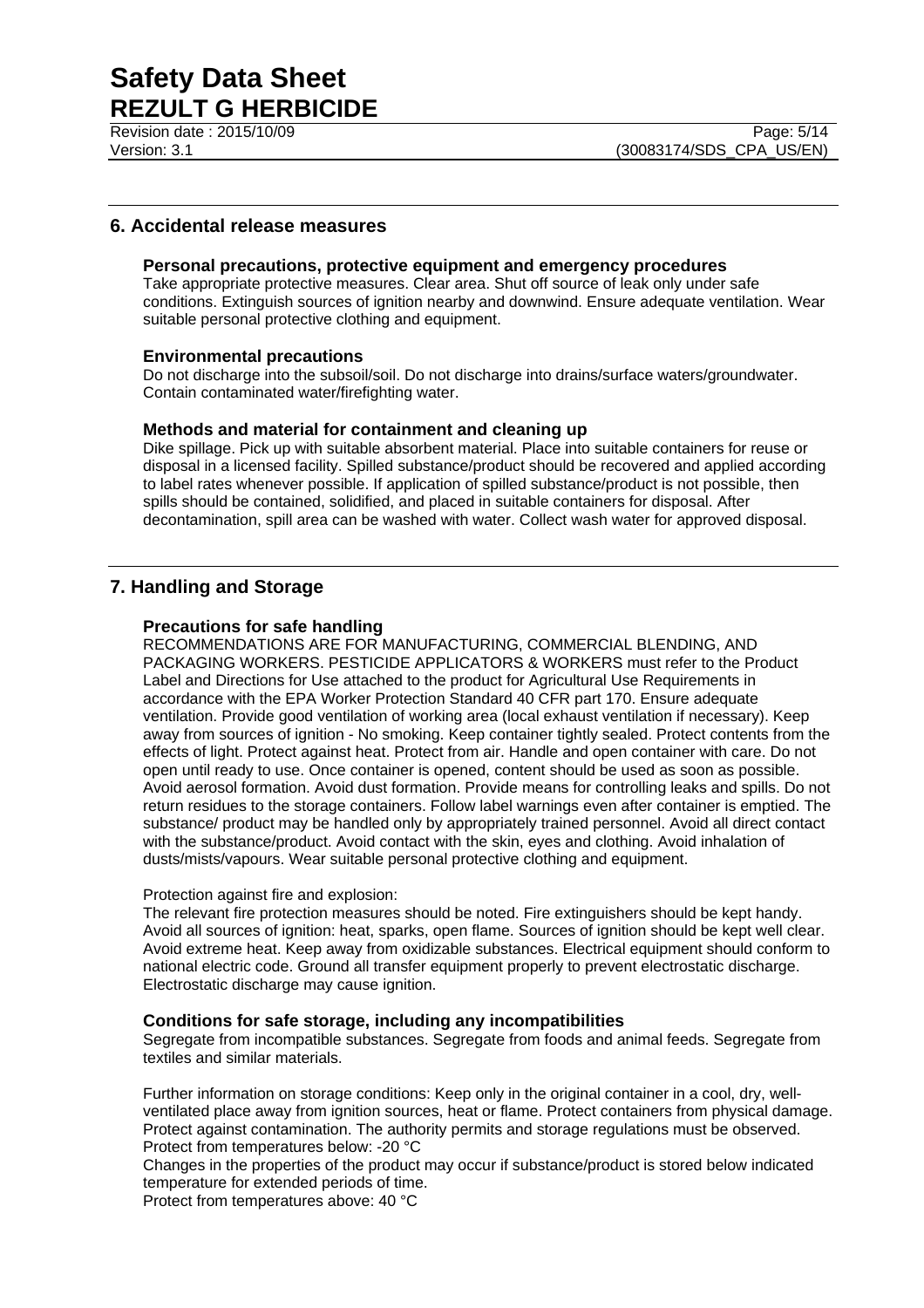Revision date : 2015/10/09 Page: 5/14

## **6. Accidental release measures**

### **Personal precautions, protective equipment and emergency procedures**

Take appropriate protective measures. Clear area. Shut off source of leak only under safe conditions. Extinguish sources of ignition nearby and downwind. Ensure adequate ventilation. Wear suitable personal protective clothing and equipment.

### **Environmental precautions**

Do not discharge into the subsoil/soil. Do not discharge into drains/surface waters/groundwater. Contain contaminated water/firefighting water.

### **Methods and material for containment and cleaning up**

Dike spillage. Pick up with suitable absorbent material. Place into suitable containers for reuse or disposal in a licensed facility. Spilled substance/product should be recovered and applied according to label rates whenever possible. If application of spilled substance/product is not possible, then spills should be contained, solidified, and placed in suitable containers for disposal. After decontamination, spill area can be washed with water. Collect wash water for approved disposal.

## **7. Handling and Storage**

### **Precautions for safe handling**

RECOMMENDATIONS ARE FOR MANUFACTURING, COMMERCIAL BLENDING, AND PACKAGING WORKERS. PESTICIDE APPLICATORS & WORKERS must refer to the Product Label and Directions for Use attached to the product for Agricultural Use Requirements in accordance with the EPA Worker Protection Standard 40 CFR part 170. Ensure adequate ventilation. Provide good ventilation of working area (local exhaust ventilation if necessary). Keep away from sources of ignition - No smoking. Keep container tightly sealed. Protect contents from the effects of light. Protect against heat. Protect from air. Handle and open container with care. Do not open until ready to use. Once container is opened, content should be used as soon as possible. Avoid aerosol formation. Avoid dust formation. Provide means for controlling leaks and spills. Do not return residues to the storage containers. Follow label warnings even after container is emptied. The substance/ product may be handled only by appropriately trained personnel. Avoid all direct contact with the substance/product. Avoid contact with the skin, eyes and clothing. Avoid inhalation of dusts/mists/vapours. Wear suitable personal protective clothing and equipment.

### Protection against fire and explosion:

The relevant fire protection measures should be noted. Fire extinguishers should be kept handy. Avoid all sources of ignition: heat, sparks, open flame. Sources of ignition should be kept well clear. Avoid extreme heat. Keep away from oxidizable substances. Electrical equipment should conform to national electric code. Ground all transfer equipment properly to prevent electrostatic discharge. Electrostatic discharge may cause ignition.

## **Conditions for safe storage, including any incompatibilities**

Segregate from incompatible substances. Segregate from foods and animal feeds. Segregate from textiles and similar materials.

Further information on storage conditions: Keep only in the original container in a cool, dry, wellventilated place away from ignition sources, heat or flame. Protect containers from physical damage. Protect against contamination. The authority permits and storage regulations must be observed. Protect from temperatures below: -20 °C

Changes in the properties of the product may occur if substance/product is stored below indicated temperature for extended periods of time.

Protect from temperatures above: 40 °C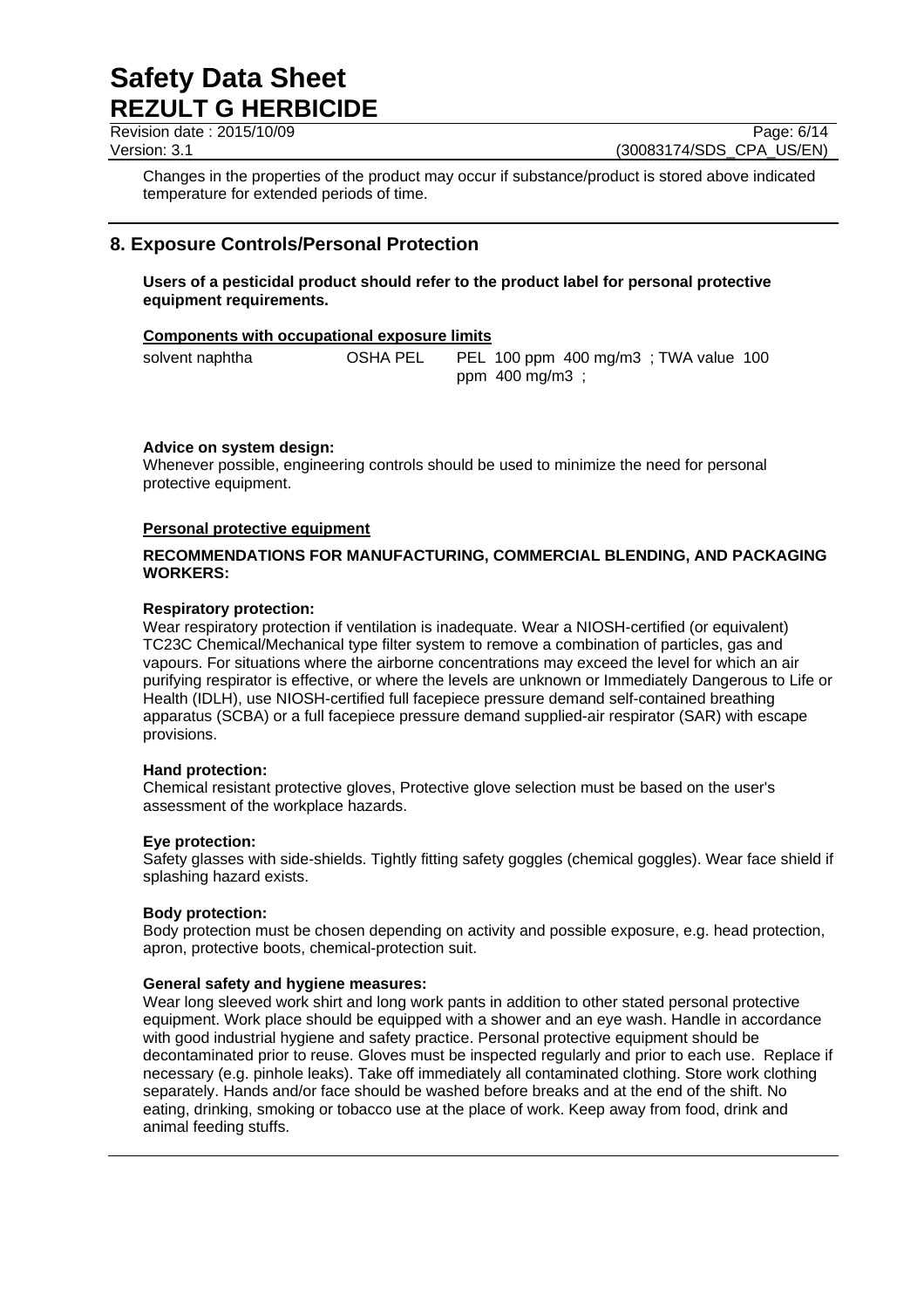Revision date : 2015/10/09 Page: 6/14

Version: 3.1 (30083174/SDS\_CPA\_US/EN)

Changes in the properties of the product may occur if substance/product is stored above indicated temperature for extended periods of time.

## **8. Exposure Controls/Personal Protection**

**Users of a pesticidal product should refer to the product label for personal protective equipment requirements.** 

### **Components with occupational exposure limits**

solvent naphtha OSHA PEL PEL 100 ppm 400 mg/m3 ; TWA value 100 ppm 400 mg/m3 ;

## **Advice on system design:**

Whenever possible, engineering controls should be used to minimize the need for personal protective equipment.

### **Personal protective equipment**

### **RECOMMENDATIONS FOR MANUFACTURING, COMMERCIAL BLENDING, AND PACKAGING WORKERS:**

### **Respiratory protection:**

Wear respiratory protection if ventilation is inadequate. Wear a NIOSH-certified (or equivalent) TC23C Chemical/Mechanical type filter system to remove a combination of particles, gas and vapours. For situations where the airborne concentrations may exceed the level for which an air purifying respirator is effective, or where the levels are unknown or Immediately Dangerous to Life or Health (IDLH), use NIOSH-certified full facepiece pressure demand self-contained breathing apparatus (SCBA) or a full facepiece pressure demand supplied-air respirator (SAR) with escape provisions.

### **Hand protection:**

Chemical resistant protective gloves, Protective glove selection must be based on the user's assessment of the workplace hazards.

### **Eye protection:**

Safety glasses with side-shields. Tightly fitting safety goggles (chemical goggles). Wear face shield if splashing hazard exists.

### **Body protection:**

Body protection must be chosen depending on activity and possible exposure, e.g. head protection, apron, protective boots, chemical-protection suit.

### **General safety and hygiene measures:**

Wear long sleeved work shirt and long work pants in addition to other stated personal protective equipment. Work place should be equipped with a shower and an eye wash. Handle in accordance with good industrial hygiene and safety practice. Personal protective equipment should be decontaminated prior to reuse. Gloves must be inspected regularly and prior to each use. Replace if necessary (e.g. pinhole leaks). Take off immediately all contaminated clothing. Store work clothing separately. Hands and/or face should be washed before breaks and at the end of the shift. No eating, drinking, smoking or tobacco use at the place of work. Keep away from food, drink and animal feeding stuffs.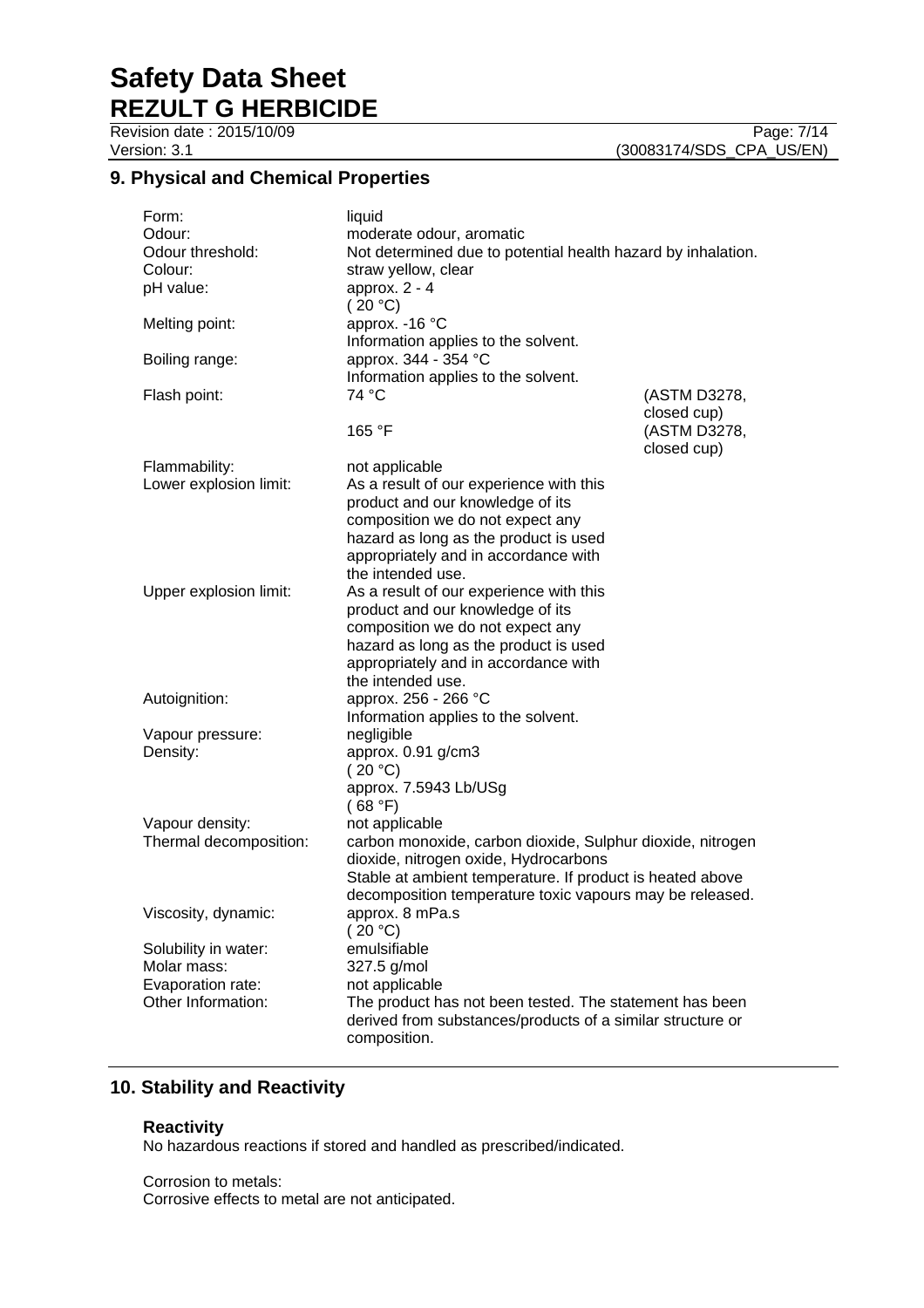Revision date : 2015/10/09 Page: 7/14

## **9. Physical and Chemical Properties**

| Form:<br>Odour:<br>Odour threshold:<br>Colour:<br>pH value:                    | liquid<br>moderate odour, aromatic<br>Not determined due to potential health hazard by inhalation.<br>straw yellow, clear<br>approx. $2 - 4$<br>(20 °C)                                                                                        |                             |
|--------------------------------------------------------------------------------|------------------------------------------------------------------------------------------------------------------------------------------------------------------------------------------------------------------------------------------------|-----------------------------|
| Melting point:                                                                 | approx. - 16 °C<br>Information applies to the solvent.                                                                                                                                                                                         |                             |
| Boiling range:                                                                 | approx. 344 - 354 °C<br>Information applies to the solvent.                                                                                                                                                                                    |                             |
| Flash point:                                                                   | 74 °C                                                                                                                                                                                                                                          | (ASTM D3278,<br>closed cup) |
|                                                                                | 165 °F                                                                                                                                                                                                                                         | (ASTM D3278,<br>closed cup) |
| Flammability:<br>Lower explosion limit:                                        | not applicable<br>As a result of our experience with this<br>product and our knowledge of its<br>composition we do not expect any<br>hazard as long as the product is used<br>appropriately and in accordance with                             |                             |
| Upper explosion limit:                                                         | the intended use.<br>As a result of our experience with this<br>product and our knowledge of its<br>composition we do not expect any<br>hazard as long as the product is used<br>appropriately and in accordance with<br>the intended use.     |                             |
| Autoignition:                                                                  | approx. 256 - 266 °C<br>Information applies to the solvent.                                                                                                                                                                                    |                             |
| Vapour pressure:<br>Density:                                                   | negligible<br>approx. 0.91 g/cm3<br>(20 °C)<br>approx. 7.5943 Lb/USg<br>(68 °F)                                                                                                                                                                |                             |
| Vapour density:<br>Thermal decomposition:                                      | not applicable<br>carbon monoxide, carbon dioxide, Sulphur dioxide, nitrogen<br>dioxide, nitrogen oxide, Hydrocarbons<br>Stable at ambient temperature. If product is heated above<br>decomposition temperature toxic vapours may be released. |                             |
| Viscosity, dynamic:                                                            | approx. 8 mPa.s<br>(20 °C)                                                                                                                                                                                                                     |                             |
| Solubility in water:<br>Molar mass:<br>Evaporation rate:<br>Other Information: | emulsifiable<br>327.5 g/mol<br>not applicable<br>The product has not been tested. The statement has been<br>derived from substances/products of a similar structure or<br>composition.                                                         |                             |

## **10. Stability and Reactivity**

### **Reactivity**

No hazardous reactions if stored and handled as prescribed/indicated.

Corrosion to metals: Corrosive effects to metal are not anticipated.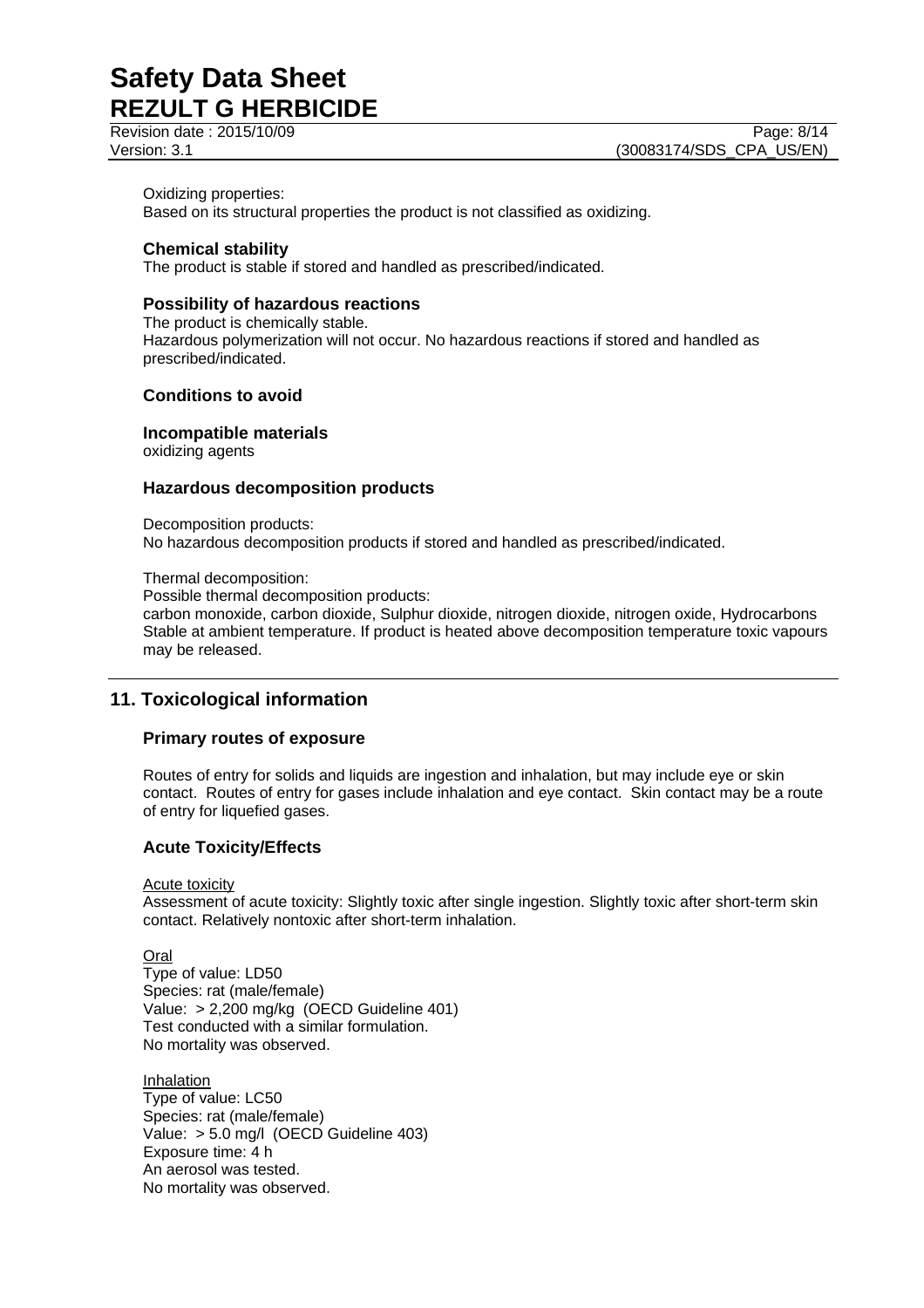Revision date : 2015/10/09

Oxidizing properties:

Based on its structural properties the product is not classified as oxidizing.

## **Chemical stability**

The product is stable if stored and handled as prescribed/indicated.

## **Possibility of hazardous reactions**

The product is chemically stable. Hazardous polymerization will not occur. No hazardous reactions if stored and handled as prescribed/indicated.

### **Conditions to avoid**

## **Incompatible materials**

oxidizing agents

### **Hazardous decomposition products**

Decomposition products: No hazardous decomposition products if stored and handled as prescribed/indicated.

#### Thermal decomposition:

Possible thermal decomposition products:

carbon monoxide, carbon dioxide, Sulphur dioxide, nitrogen dioxide, nitrogen oxide, Hydrocarbons Stable at ambient temperature. If product is heated above decomposition temperature toxic vapours may be released.

## **11. Toxicological information**

### **Primary routes of exposure**

Routes of entry for solids and liquids are ingestion and inhalation, but may include eye or skin contact. Routes of entry for gases include inhalation and eye contact. Skin contact may be a route of entry for liquefied gases.

### **Acute Toxicity/Effects**

Acute toxicity

Assessment of acute toxicity: Slightly toxic after single ingestion. Slightly toxic after short-term skin contact. Relatively nontoxic after short-term inhalation.

Oral

Type of value: LD50 Species: rat (male/female) Value: > 2,200 mg/kg (OECD Guideline 401) Test conducted with a similar formulation. No mortality was observed.

Inhalation Type of value: LC50 Species: rat (male/female) Value: > 5.0 mg/l (OECD Guideline 403) Exposure time: 4 h An aerosol was tested. No mortality was observed.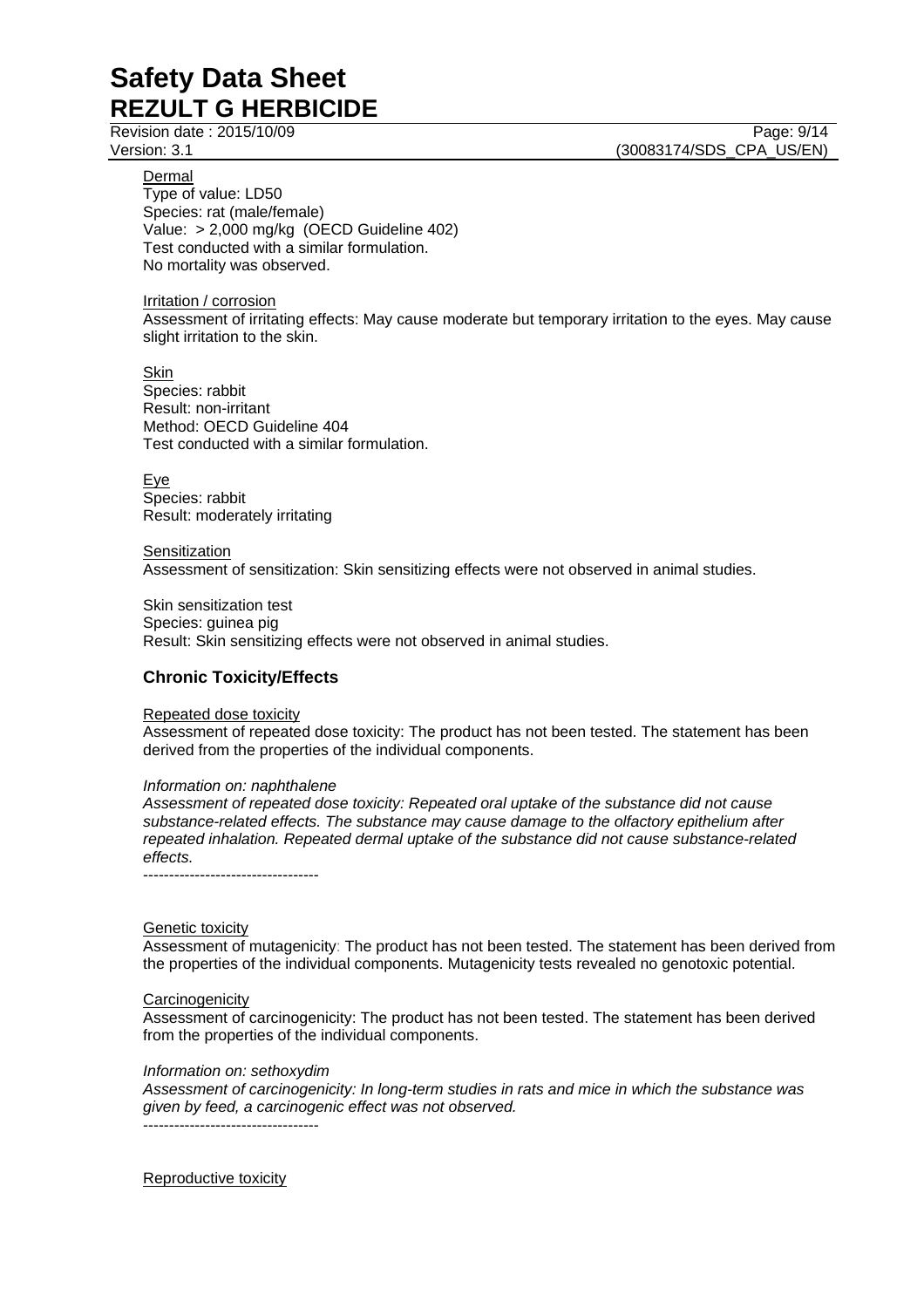Revision date : 2015/10/09 Page: 9/14

Dermal

Version: 3.1 (30083174/SDS\_CPA\_US/EN)

Type of value: LD50 Species: rat (male/female) Value: > 2,000 mg/kg (OECD Guideline 402) Test conducted with a similar formulation. No mortality was observed.

Irritation / corrosion

Assessment of irritating effects: May cause moderate but temporary irritation to the eyes. May cause slight irritation to the skin.

Skin Species: rabbit Result: non-irritant Method: OECD Guideline 404 Test conducted with a similar formulation.

Eye Species: rabbit Result: moderately irritating

**Sensitization** Assessment of sensitization: Skin sensitizing effects were not observed in animal studies.

Skin sensitization test Species: guinea pig Result: Skin sensitizing effects were not observed in animal studies.

## **Chronic Toxicity/Effects**

Repeated dose toxicity

Assessment of repeated dose toxicity: The product has not been tested. The statement has been derived from the properties of the individual components.

### *Information on: naphthalene*

*Assessment of repeated dose toxicity: Repeated oral uptake of the substance did not cause substance-related effects. The substance may cause damage to the olfactory epithelium after repeated inhalation. Repeated dermal uptake of the substance did not cause substance-related effects.* 

----------------------------------

### Genetic toxicity

Assessment of mutagenicity: The product has not been tested. The statement has been derived from the properties of the individual components. Mutagenicity tests revealed no genotoxic potential.

### **Carcinogenicity**

Assessment of carcinogenicity: The product has not been tested. The statement has been derived from the properties of the individual components.

### *Information on: sethoxydim*

*Assessment of carcinogenicity: In long-term studies in rats and mice in which the substance was given by feed, a carcinogenic effect was not observed.*  ----------------------------------

Reproductive toxicity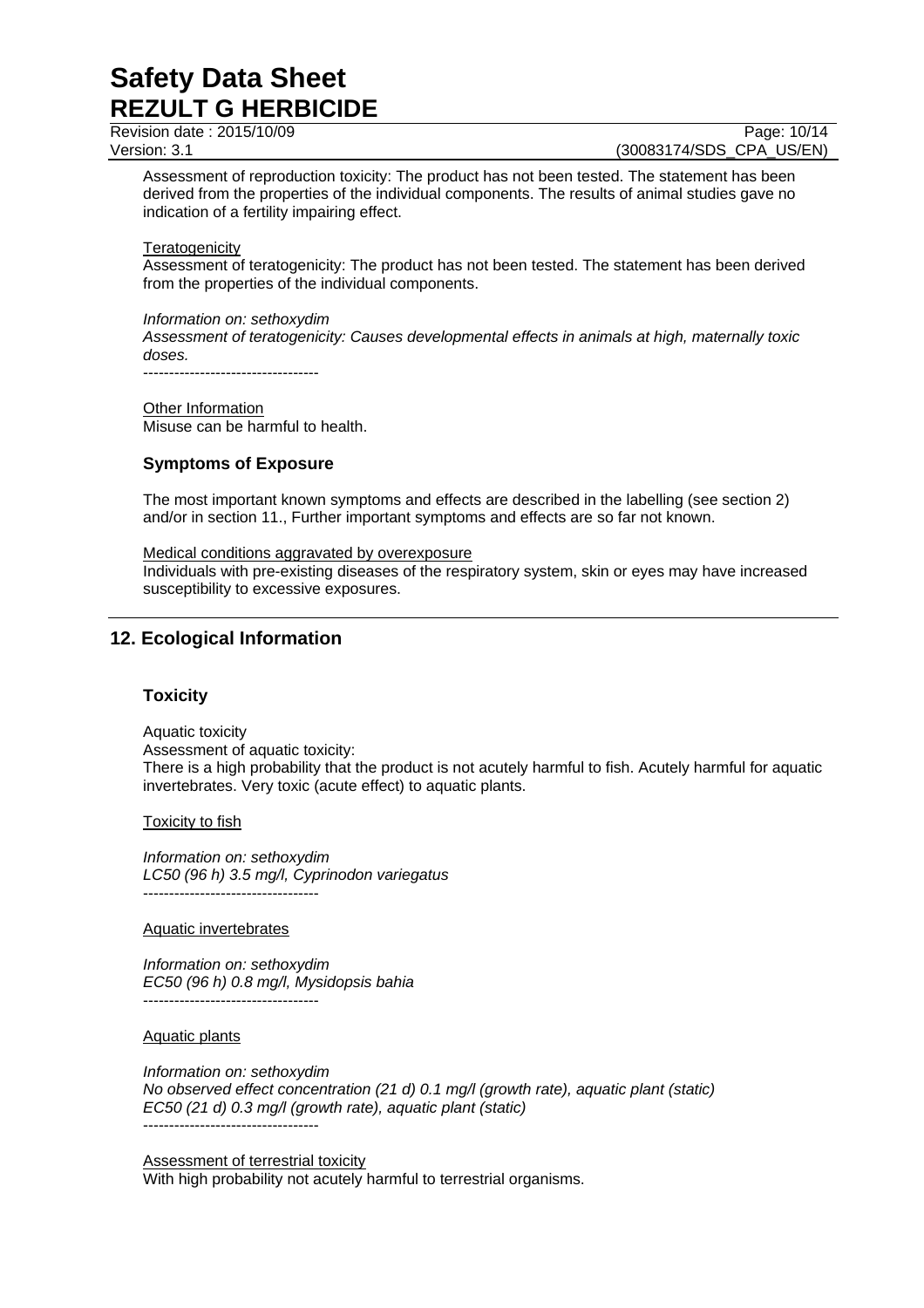Revision date : 2015/10/09 Page: 10/14

Version: 3.1 (30083174/SDS\_CPA\_US/EN)

Assessment of reproduction toxicity: The product has not been tested. The statement has been derived from the properties of the individual components. The results of animal studies gave no indication of a fertility impairing effect.

### **Teratogenicity**

Assessment of teratogenicity: The product has not been tested. The statement has been derived from the properties of the individual components.

## *Information on: sethoxydim*

*Assessment of teratogenicity: Causes developmental effects in animals at high, maternally toxic doses.* 

----------------------------------

Other Information Misuse can be harmful to health.

## **Symptoms of Exposure**

The most important known symptoms and effects are described in the labelling (see section 2) and/or in section 11., Further important symptoms and effects are so far not known.

### Medical conditions aggravated by overexposure

Individuals with pre-existing diseases of the respiratory system, skin or eyes may have increased susceptibility to excessive exposures.

## **12. Ecological Information**

## **Toxicity**

Aquatic toxicity Assessment of aquatic toxicity: There is a high probability that the product is not acutely harmful to fish. Acutely harmful for aquatic invertebrates. Very toxic (acute effect) to aquatic plants.

## Toxicity to fish

*Information on: sethoxydim LC50 (96 h) 3.5 mg/l, Cyprinodon variegatus*  ----------------------------------

### Aquatic invertebrates

*Information on: sethoxydim EC50 (96 h) 0.8 mg/l, Mysidopsis bahia*  ----------------------------------

## Aquatic plants

*Information on: sethoxydim No observed effect concentration (21 d) 0.1 mg/l (growth rate), aquatic plant (static) EC50 (21 d) 0.3 mg/l (growth rate), aquatic plant (static)*  ----------------------------------

Assessment of terrestrial toxicity With high probability not acutely harmful to terrestrial organisms.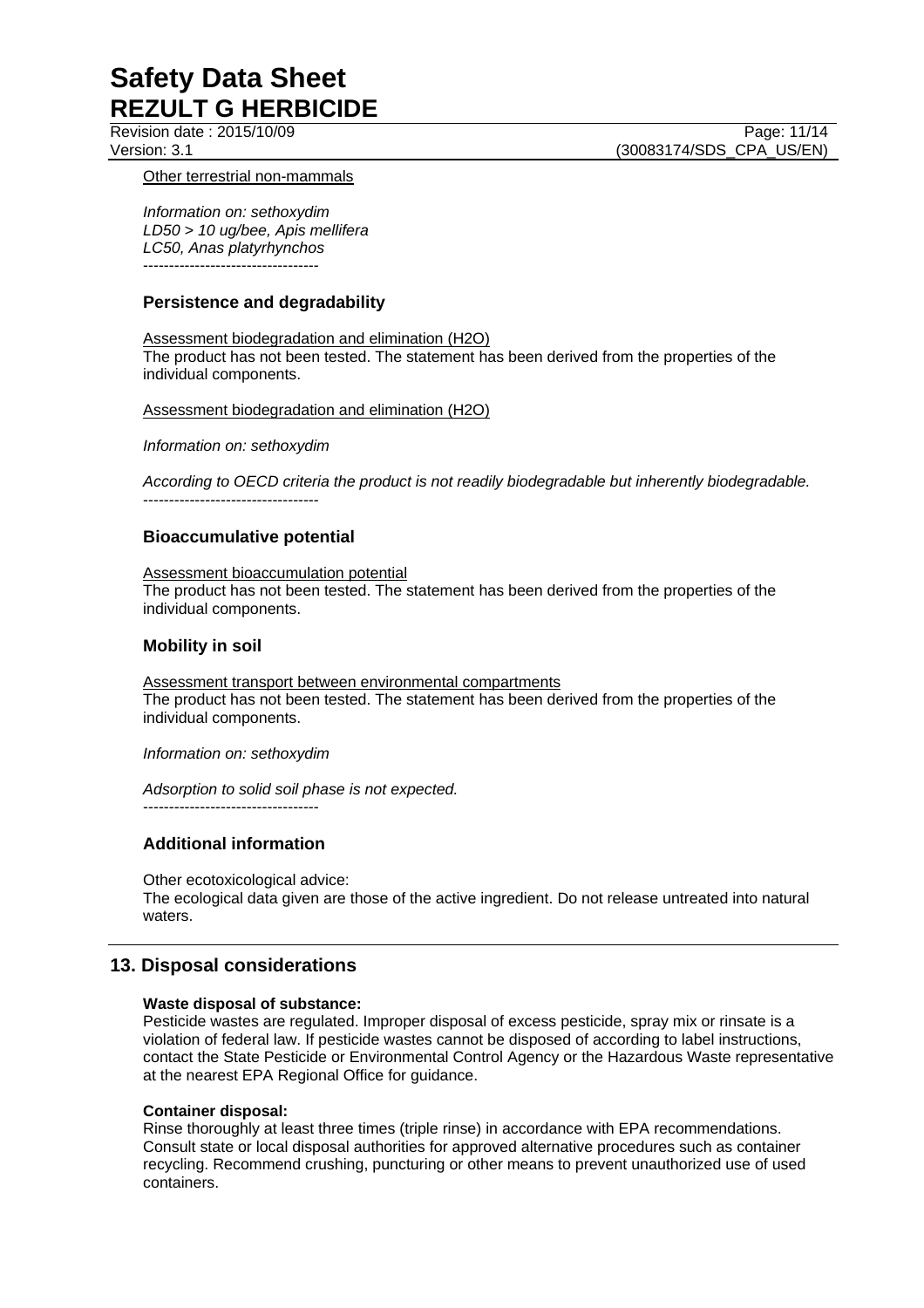Revision date : 2015/10/09 Page: 11/14 Version: 3.1 (30083174/SDS\_CPA\_US/EN)

### Other terrestrial non-mammals

*Information on: sethoxydim LD50 > 10 ug/bee, Apis mellifera LC50, Anas platyrhynchos*  ----------------------------------

## **Persistence and degradability**

Assessment biodegradation and elimination (H2O) The product has not been tested. The statement has been derived from the properties of the individual components.

Assessment biodegradation and elimination (H2O)

*Information on: sethoxydim* 

*According to OECD criteria the product is not readily biodegradable but inherently biodegradable.*  ----------------------------------

## **Bioaccumulative potential**

### Assessment bioaccumulation potential

The product has not been tested. The statement has been derived from the properties of the individual components.

## **Mobility in soil**

Assessment transport between environmental compartments The product has not been tested. The statement has been derived from the properties of the individual components.

### *Information on: sethoxydim*

*Adsorption to solid soil phase is not expected.*

 $-$ 

## **Additional information**

Other ecotoxicological advice:

The ecological data given are those of the active ingredient. Do not release untreated into natural waters.

## **13. Disposal considerations**

## **Waste disposal of substance:**

Pesticide wastes are regulated. Improper disposal of excess pesticide, spray mix or rinsate is a violation of federal law. If pesticide wastes cannot be disposed of according to label instructions, contact the State Pesticide or Environmental Control Agency or the Hazardous Waste representative at the nearest EPA Regional Office for guidance.

## **Container disposal:**

Rinse thoroughly at least three times (triple rinse) in accordance with EPA recommendations. Consult state or local disposal authorities for approved alternative procedures such as container recycling. Recommend crushing, puncturing or other means to prevent unauthorized use of used containers.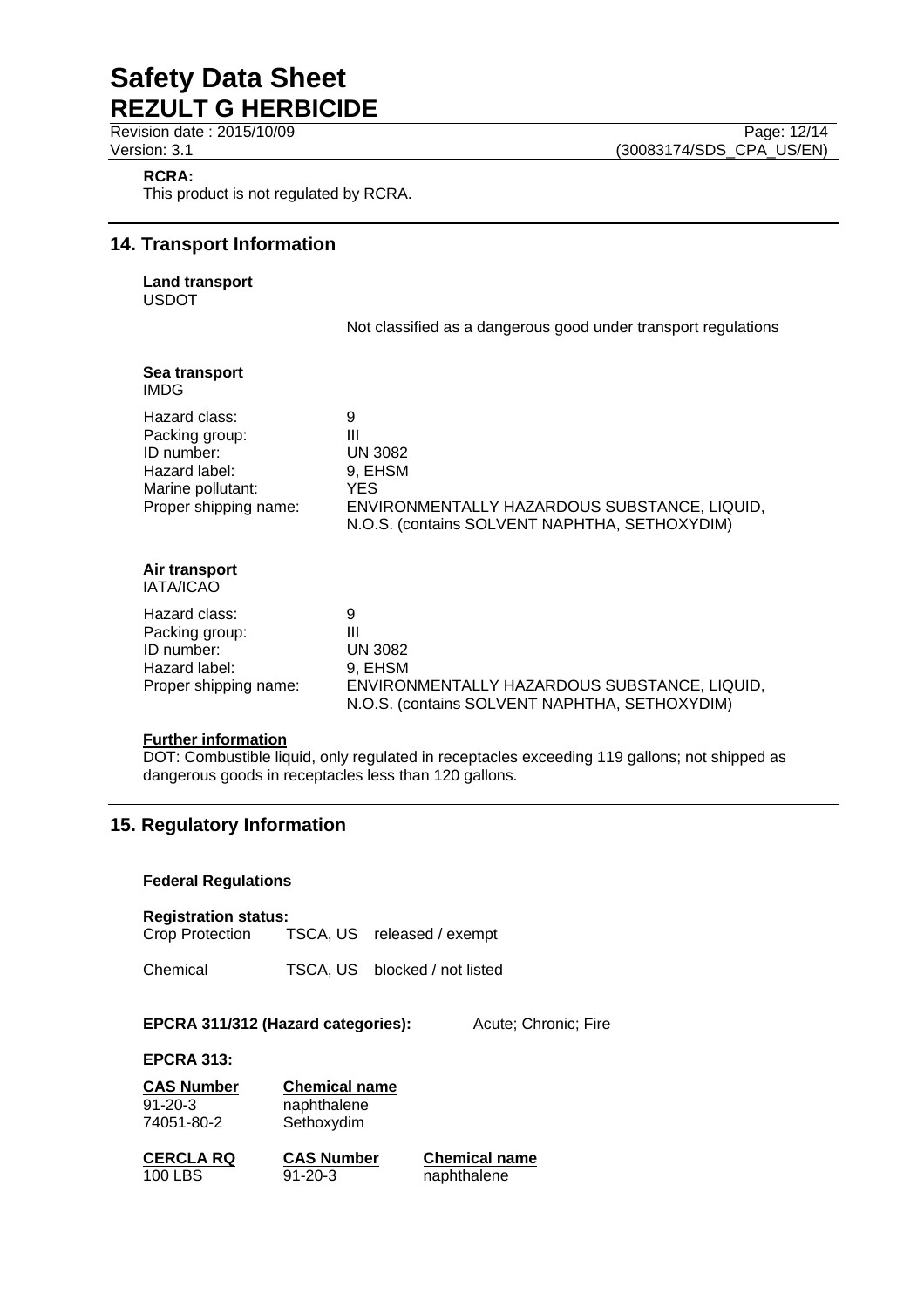**RCRA:**

This product is not regulated by RCRA.

## **14. Transport Information**

**Land transport**  USDOT

Not classified as a dangerous good under transport regulations

| Sea transport<br>IMDG                                                                                        |                                                                                                                                              |
|--------------------------------------------------------------------------------------------------------------|----------------------------------------------------------------------------------------------------------------------------------------------|
| Hazard class:<br>Packing group:<br>ID number:<br>Hazard label:<br>Marine pollutant:<br>Proper shipping name: | 9<br>Ш<br><b>UN 3082</b><br>9, EHSM<br>YES.<br>ENVIRONMENTALLY HAZARDOUS SUBSTANCE, LIQUID,<br>N.O.S. (contains SOLVENT NAPHTHA, SETHOXYDIM) |
| Air transport<br><b>IATA/ICAO</b>                                                                            |                                                                                                                                              |
| Hazard class:<br>Packing group:<br>ID number:<br>Hazard label:<br>Proper shipping name:                      | 9<br>Ш<br><b>UN 3082</b><br>9, EHSM<br>ENVIRONMENTALLY HAZARDOUS SUBSTANCE, LIQUID,<br>N.O.S. (contains SOLVENT NAPHTHA, SETHOXYDIM)         |

### **Further information**

DOT: Combustible liquid, only regulated in receptacles exceeding 119 gallons; not shipped as dangerous goods in receptacles less than 120 gallons.

## **15. Regulatory Information**

### **Federal Regulations**

**Registration status:**  TSCA, US released / exempt

Chemical TSCA, US blocked / not listed

### **EPCRA 311/312 (Hazard categories):** Acute; Chronic; Fire

**EPCRA 313:** 

**CAS Number Chemical name** 91-20-3 naphthalene<br>74051-80-2 Sethoxydim

Sethoxydim

**CERCLA RQ CAS Number Chemical name** 100 LBS 91-20-3 naphthalene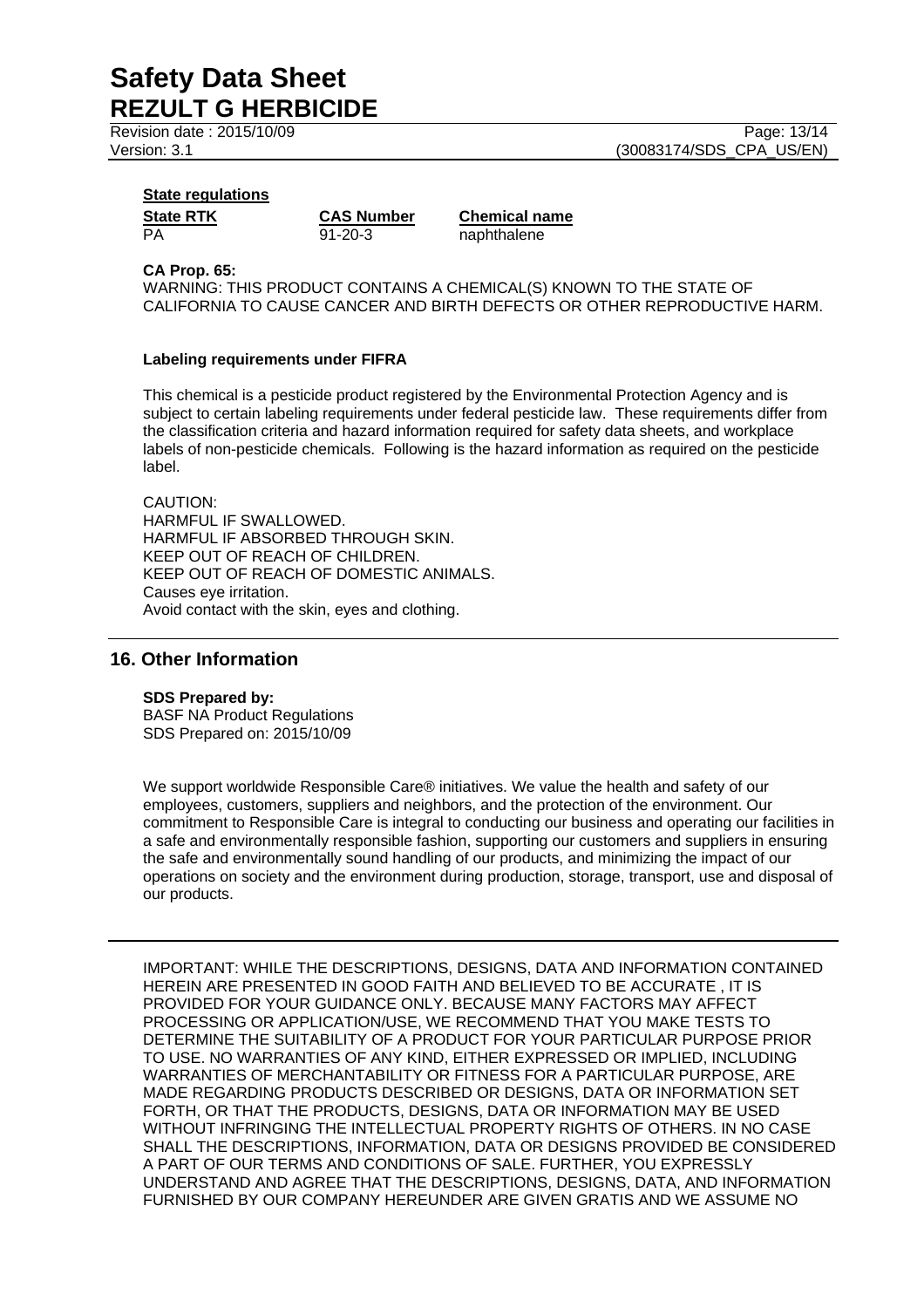Revision date : 2015/10/09 Page: 13/14

Version: 3.1 (30083174/SDS\_CPA\_US/EN)

## **State regulations**

PA 91-20-3 naphthalene

**State RTK CAS Number Chemical name** 

#### **CA Prop. 65:**

WARNING: THIS PRODUCT CONTAINS A CHEMICAL(S) KNOWN TO THE STATE OF CALIFORNIA TO CAUSE CANCER AND BIRTH DEFECTS OR OTHER REPRODUCTIVE HARM.

### **Labeling requirements under FIFRA**

This chemical is a pesticide product registered by the Environmental Protection Agency and is subject to certain labeling requirements under federal pesticide law. These requirements differ from the classification criteria and hazard information required for safety data sheets, and workplace labels of non-pesticide chemicals. Following is the hazard information as required on the pesticide label.

#### CAUTION: HARMFUL IF SWALLOWED. HARMFUL IF ABSORBED THROUGH SKIN. KEEP OUT OF REACH OF CHILDREN. KEEP OUT OF REACH OF DOMESTIC ANIMALS. Causes eye irritation. Avoid contact with the skin, eyes and clothing.

## **16. Other Information**

### **SDS Prepared by:**

BASF NA Product Regulations SDS Prepared on: 2015/10/09

We support worldwide Responsible Care® initiatives. We value the health and safety of our employees, customers, suppliers and neighbors, and the protection of the environment. Our commitment to Responsible Care is integral to conducting our business and operating our facilities in a safe and environmentally responsible fashion, supporting our customers and suppliers in ensuring the safe and environmentally sound handling of our products, and minimizing the impact of our operations on society and the environment during production, storage, transport, use and disposal of our products.

IMPORTANT: WHILE THE DESCRIPTIONS, DESIGNS, DATA AND INFORMATION CONTAINED HEREIN ARE PRESENTED IN GOOD FAITH AND BELIEVED TO BE ACCURATE , IT IS PROVIDED FOR YOUR GUIDANCE ONLY. BECAUSE MANY FACTORS MAY AFFECT PROCESSING OR APPLICATION/USE, WE RECOMMEND THAT YOU MAKE TESTS TO DETERMINE THE SUITABILITY OF A PRODUCT FOR YOUR PARTICULAR PURPOSE PRIOR TO USE. NO WARRANTIES OF ANY KIND, EITHER EXPRESSED OR IMPLIED, INCLUDING WARRANTIES OF MERCHANTABILITY OR FITNESS FOR A PARTICULAR PURPOSE, ARE MADE REGARDING PRODUCTS DESCRIBED OR DESIGNS, DATA OR INFORMATION SET FORTH, OR THAT THE PRODUCTS, DESIGNS, DATA OR INFORMATION MAY BE USED WITHOUT INFRINGING THE INTELLECTUAL PROPERTY RIGHTS OF OTHERS. IN NO CASE SHALL THE DESCRIPTIONS, INFORMATION, DATA OR DESIGNS PROVIDED BE CONSIDERED A PART OF OUR TERMS AND CONDITIONS OF SALE. FURTHER, YOU EXPRESSLY UNDERSTAND AND AGREE THAT THE DESCRIPTIONS, DESIGNS, DATA, AND INFORMATION FURNISHED BY OUR COMPANY HEREUNDER ARE GIVEN GRATIS AND WE ASSUME NO